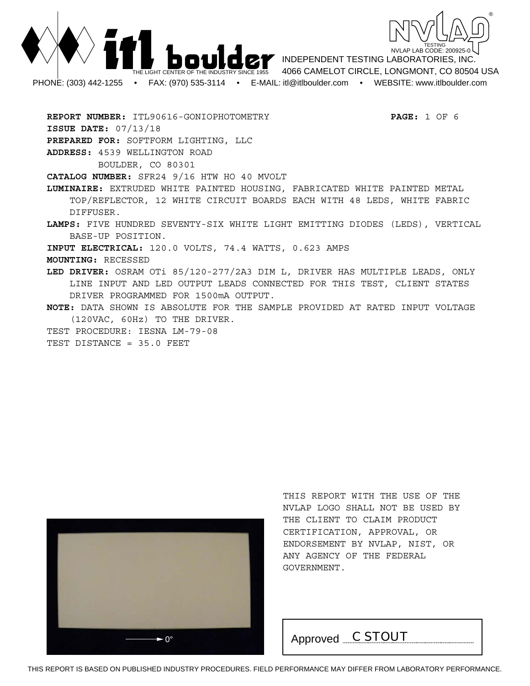



INDEPENDENT TESTING LABORATORIES, INC. 4066 CAMELOT CIRCLE, LONGMONT, CO 80504 USA PHONE: (303) 442-1255 • FAX: (970) 535-3114 • E-MAIL: itl@itlboulder.com • WEBSITE: www.itlboulder.com

**REPORT NUMBER:** ITL90616-GONIOPHOTOMETRY **PAGE:** 1 OF 6 **ISSUE DATE:** 07/13/18 **PREPARED FOR:** SOFTFORM LIGHTING, LLC **ADDRESS:** 4539 WELLINGTON ROAD BOULDER, CO 80301 **CATALOG NUMBER:** SFR24 9/16 HTW HO 40 MVOLT **LUMINAIRE:** EXTRUDED WHITE PAINTED HOUSING, FABRICATED WHITE PAINTED METAL TOP/REFLECTOR, 12 WHITE CIRCUIT BOARDS EACH WITH 48 LEDS, WHITE FABRIC DIFFUSER. **LAMPS:** FIVE HUNDRED SEVENTY-SIX WHITE LIGHT EMITTING DIODES (LEDS), VERTICAL BASE-UP POSITION. **INPUT ELECTRICAL:** 120.0 VOLTS, 74.4 WATTS, 0.623 AMPS **MOUNTING:** RECESSED **LED DRIVER:** OSRAM OTi 85/120-277/2A3 DIM L, DRIVER HAS MULTIPLE LEADS, ONLY LINE INPUT AND LED OUTPUT LEADS CONNECTED FOR THIS TEST, CLIENT STATES DRIVER PROGRAMMED FOR 1500mA OUTPUT. **NOTE:** DATA SHOWN IS ABSOLUTE FOR THE SAMPLE PROVIDED AT RATED INPUT VOLTAGE (120VAC, 60Hz) TO THE DRIVER. TEST PROCEDURE: IESNA LM-79-08 TEST DISTANCE = 35.0 FEET



THIS REPORT WITH THE USE OF THE NVLAP LOGO SHALL NOT BE USED BY THE CLIENT TO CLAIM PRODUCT CERTIFICATION, APPROVAL, OR ENDORSEMENT BY NVLAP, NIST, OR ANY AGENCY OF THE FEDERAL GOVERNMENT.

 $\rightarrow$ <sup>0°</sup> Approved *C STOUT*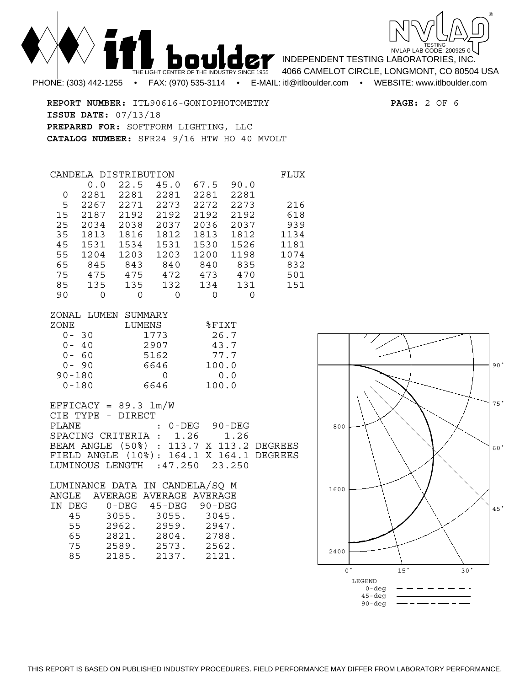

**REPORT NUMBER:** ITL90616-GONIOPHOTOMETRY **PAGE:** 2 OF 6 **ISSUE DATE:** 07/13/18 **PREPARED FOR:** SOFTFORM LIGHTING, LLC **CATALOG NUMBER:** SFR24 9/16 HTW HO 40 MVOLT

| CANDELA. |      | DISTRIBUTION |      |      |      | FLUX |
|----------|------|--------------|------|------|------|------|
|          | 0.0  | 22.5         | 45.0 | 67.5 | 90.0 |      |
| 0        | 2281 | 2281         | 2281 | 2281 | 2281 |      |
| 5        | 2267 | 2271         | 2273 | 2272 | 2273 | 216  |
| 15       | 2187 | 2192         | 2192 | 2192 | 2192 | 618  |
| 25       | 2034 | 2038         | 2037 | 2036 | 2037 | 939  |
| 35       | 1813 | 1816         | 1812 | 1813 | 1812 | 1134 |
| 45       | 1531 | 1534         | 1531 | 1530 | 1526 | 1181 |
| 55       | 1204 | 1203         | 1203 | 1200 | 1198 | 1074 |
| 65       | 845  | 843          | 840  | 840  | 835  | 832  |
| 75       | 475  | 475          | 472  | 473  | 470  | 501  |
| 85       | 135  | 135          | 132  | 134  | 131  | 151  |
| 90       | O    | 0            | Ω    | Ω    | ∩    |      |

| ZONAL LUMEN SUMMARY |        |          |
|---------------------|--------|----------|
| ZONE                | LUMENS | $$$ FIXT |
| $0 - 30$            | 1773   | 26.7     |
| $0 - 40$            | 2907   | 43.7     |
| $0 - 60$            | 5162   | 77.7     |
| $0 - 90$            | 6646   | 100.0    |
| $90 - 180$          |        | 0.0      |
| $0 - 180$           | 6646   | 100.0    |

 $EFFICACY = 89.3  $lm/W$$ CIE TYPE - DIRECT PLANE : 0-DEG 90-DEG SPACING CRITERIA : 1.26 1.26 BEAM ANGLE (50%) : 113.7 X 113.2 DEGREES FIELD ANGLE (10%): 164.1 X 164.1 DEGREES LUMINOUS LENGTH :47.250 23.250

| LUMINANCE DATA IN CANDELA/SO M |        |       |                         |               |  |
|--------------------------------|--------|-------|-------------------------|---------------|--|
|                                | ANGLE  |       | AVERAGE AVERAGE AVERAGE |               |  |
|                                | IN DEG | 0-DEG |                         | 45-DEG 90-DEG |  |
|                                | 45     | 3055. | 3055.                   | 3045.         |  |
|                                | 55     | 2962. | 2959.                   | 2947.         |  |
|                                | 65     | 2821. | 2804.                   | 2788.         |  |
|                                | 75     | 2589. | 2573.                   | 2562.         |  |
|                                | 85     | 2185. | 2137.                   | 2121.         |  |



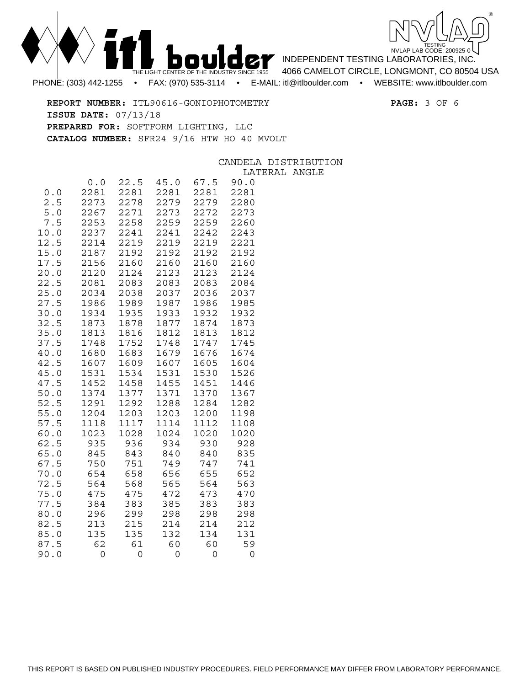



INDEPENDENT TESTING LABORATORIES, INC.

4066 CAMELOT CIRCLE, LONGMONT, CO 80504 USA

**REPORT NUMBER:** ITL90616-GONIOPHOTOMETRY **PAGE:** 3 OF 6 **ISSUE DATE:** 07/13/18 **PREPARED FOR:** SOFTFORM LIGHTING, LLC **CATALOG NUMBER:** SFR24 9/16 HTW HO 40 MVOLT

|              |                     |                      |                      |                      | CANDELA              |
|--------------|---------------------|----------------------|----------------------|----------------------|----------------------|
|              |                     |                      |                      |                      | LATE                 |
| 0.0<br>2.5   | 0.0<br>2281<br>2273 | 22.5<br>2281<br>2278 | 45.0<br>2281<br>2279 | 67.5<br>2281<br>2279 | 90.0<br>2281<br>2280 |
| 5.0          | 2267                | 2271                 | 2273                 | 2272                 | 2273                 |
| 7.5          | 2253                | 2258                 | 2259                 | 2259                 | 2260                 |
| 10.0<br>12.5 | 2237<br>2214        | 2241<br>2219         | 2241<br>2219         | 2242<br>2219         | 2243<br>2221         |
| 15.0         | 2187                | 2192                 | 2192                 | 2192                 | 2192                 |
| 17.5<br>20.0 | 2156<br>2120        | 2160<br>2124         | 2160<br>2123         | 2160<br>2123         | 2160<br>2124         |
| 22.5         | 2081                | 2083                 | 2083                 | 2083                 | 2084                 |
| 25.0         | 2034                | 2038                 | 2037                 | 2036                 | 2037                 |
| 27.5<br>30.0 | 1986<br>1934        | 1989<br>1935         | 1987<br>1933         | 1986<br>1932         | 1985<br>1932         |
| 32.5         | 1873                | 1878                 | 1877                 | 1874                 | 1873                 |
| 35.0         | 1813                | 1816<br>1752         | 1812                 | 1813                 | 1812                 |
| 37.5<br>40.0 | 1748<br>1680        | 1683                 | 1748<br>1679         | 1747<br>1676         | 1745<br>1674         |
| 42.5         | 1607                | 1609                 | 1607                 | 1605                 | 1604                 |
| 45.0<br>47.5 | 1531<br>1452        | 1534<br>1458         | 1531<br>1455         | 1530<br>1451         | 1526<br>1446         |
| 50.0         | 1374                | 1377                 | 1371                 | 1370                 | 1367                 |
| 52.5         | 1291<br>1204        | 1292<br>1203         | 1288                 | 1284                 | 1282<br>1198         |
| 55.0<br>57.5 | 1118                | 1117                 | 1203<br>1114         | 1200<br>1112         | 1108                 |
| 60.0         | 1023                | 1028                 | 1024                 | 1020                 | 1020                 |
| 62.5<br>65.0 | 935<br>845          | 936<br>843           | 934<br>840           | 930<br>840           | 928<br>835           |
| 67.5         | 750                 | 751                  | 749                  | 747                  | 741                  |
| 70.0<br>72.5 | 654                 | 658                  | 656                  | 655                  | 652                  |
| 75.0         | 564<br>475          | 568<br>475           | 565<br>472           | 564<br>473           | 563<br>470           |
| 77.5         | 384                 | 383                  | 385                  | 383                  | 383                  |
| 80.0<br>82.5 | 296<br>213          | 299<br>215           | 298<br>214           | 298<br>214           | 298<br>212           |
| 85.0         | 135                 | 135                  | 132                  | 134                  | 131                  |
| 87.5         | 62                  | 61                   | 60                   | 60                   | 59                   |
| 90.0         | 0                   | 0                    | $\overline{0}$       | 0                    | 0                    |

DISTRIBUTION **RAL ANGLE**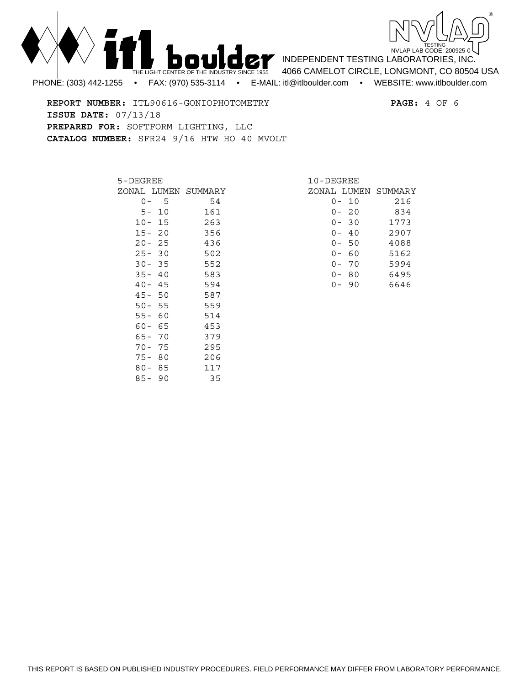



**REPORT NUMBER:** ITL90616-GONIOPHOTOMETRY **PAGE:** 4 OF 6 **ISSUE DATE:** 07/13/18 **PREPARED FOR:** SOFTFORM LIGHTING, LLC **CATALOG NUMBER:** SFR24 9/16 HTW HO 40 MVOLT

| 5-DEGREE                      |      |                     |  |  |
|-------------------------------|------|---------------------|--|--|
|                               |      | ZONAL LUMEN SUMMARY |  |  |
| 0<br>$\overline{\phantom{0}}$ | 5    | 54                  |  |  |
| 5 –                           | 10   | 161                 |  |  |
| $10 -$                        | 15   | 263                 |  |  |
| $15 -$                        | 20   | 356                 |  |  |
| $20 -$                        | - 25 | 436                 |  |  |
| $25 -$                        | 30   | 502                 |  |  |
| $30 -$                        | - 35 | 552                 |  |  |
| $35 -$                        | - 40 | 583                 |  |  |
| $40 -$                        | - 45 | 594                 |  |  |
| 45-                           | 50   | 587                 |  |  |
| $50 -$                        | - 55 | 559                 |  |  |
| $55 -$                        | 60   | 514                 |  |  |
| 60-                           | 65   | 453                 |  |  |
| 65-                           | 70   | 379                 |  |  |
| $70-$                         | 75   | 295                 |  |  |
| $75 -$                        | 80   | 206                 |  |  |
| $80 -$                        | 85   | 117                 |  |  |
| 85-                           | 90   | 35                  |  |  |

| 10-DEGREE |                                                      |  |  |  |  |
|-----------|------------------------------------------------------|--|--|--|--|
|           | ZONAL LUMEN SUMMARY                                  |  |  |  |  |
|           | 216                                                  |  |  |  |  |
|           | 834                                                  |  |  |  |  |
|           | 1773                                                 |  |  |  |  |
|           | 2907                                                 |  |  |  |  |
|           | 4088                                                 |  |  |  |  |
|           | 5162                                                 |  |  |  |  |
|           | 5994                                                 |  |  |  |  |
| 80        | 6495                                                 |  |  |  |  |
| q<br>0    | 6646                                                 |  |  |  |  |
|           | 0- 10<br>0-20<br>$-30$<br>0-40<br>50<br>- 60<br>- 70 |  |  |  |  |

INDEPENDENT TESTING LABORATORIES, INC. 4066 CAMELOT CIRCLE, LONGMONT, CO 80504 USA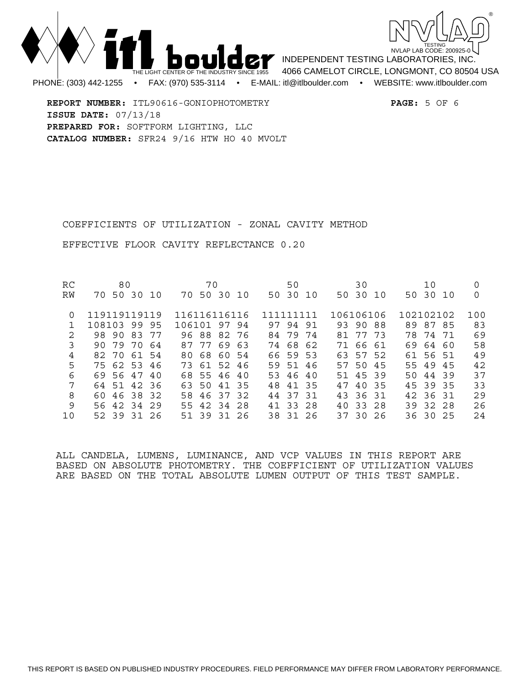



INDEPENDENT TESTING LABORATORIES, INC. 4066 CAMELOT CIRCLE, LONGMONT, CO 80504 USA PHONE: (303) 442-1255 • FAX: (970) 535-3114 • E-MAIL: itl@itlboulder.com • WEBSITE: www.itlboulder.com

**REPORT NUMBER:** ITL90616-GONIOPHOTOMETRY **PAGE:** 5 OF 6 **ISSUE DATE:** 07/13/18 **PREPARED FOR:** SOFTFORM LIGHTING, LLC **CATALOG NUMBER:** SFR24 9/16 HTW HO 40 MVOLT

COEFFICIENTS OF UTILIZATION - ZONAL CAVITY METHOD

EFFECTIVE FLOOR CAVITY REFLECTANCE 0.20

| <b>RC</b>     | 80                   | 70             | 50          | 30           | 10             |     |
|---------------|----------------------|----------------|-------------|--------------|----------------|-----|
| RW            | 50 30<br>70<br>- 1 O | 70 50 30 10    | 50 30 10    | 50 30 10     | 50 30 10       | 0   |
|               |                      |                |             |              |                |     |
| 0             | 119119119119         | 116116116116   | 111111111   | 106106106    | 102102102      | 100 |
|               | 108103<br>99<br>95   | 106101 97 94   | 97 94 91    | 93 90 88     | 89 87 85       | 83  |
| $\mathcal{D}$ | 98 90<br>83<br>77    | 96 88 82 76    | 84 79 74    | 77 73<br>81  | 78 74 71       | 69  |
| 3             | 7970<br>90<br>64     | 87 77<br>69 63 | 74 68 62    | 71<br>66 61  | 69<br>64<br>60 | 58  |
| 4             | 82 70 61 54          | 80 68 60 54    | 66 59 53    | 63 57 52     | 61 56 51       | 49  |
| 5             | 75 62 53 46          | 73 61 52 46    | 59 51 46    | 57 50 45     | 55 49 45       | 42  |
| 6             | 69 56 47<br>4 O      | 68 55 46 40    | 53 46 40    | 51 45 39     | 50 44 39       | 37  |
| 7             | 64 51 42 36          | 63 50<br>41 35 | 41 35<br>48 | 47<br>40 35  | 45 39 35       | 33  |
| 8             | 60 46 38 32          | 58 46 37 32    | 44 37 31    | 43 36 31     | 42 36 31       | 29  |
| 9             | 56 42 34<br>- 29     | 55 42 34 28    | 41 33 28    | 33 28<br>4 O | 39 32 28       | 26  |
| 10            | 52 39 31 26          | 51 39 31 26    | 38 31 26    | 37 30 26     | 36 30 25       | 24  |

ALL CANDELA, LUMENS, LUMINANCE, AND VCP VALUES IN THIS REPORT ARE BASED ON ABSOLUTE PHOTOMETRY. THE COEFFICIENT OF UTILIZATION VALUES ARE BASED ON THE TOTAL ABSOLUTE LUMEN OUTPUT OF THIS TEST SAMPLE.